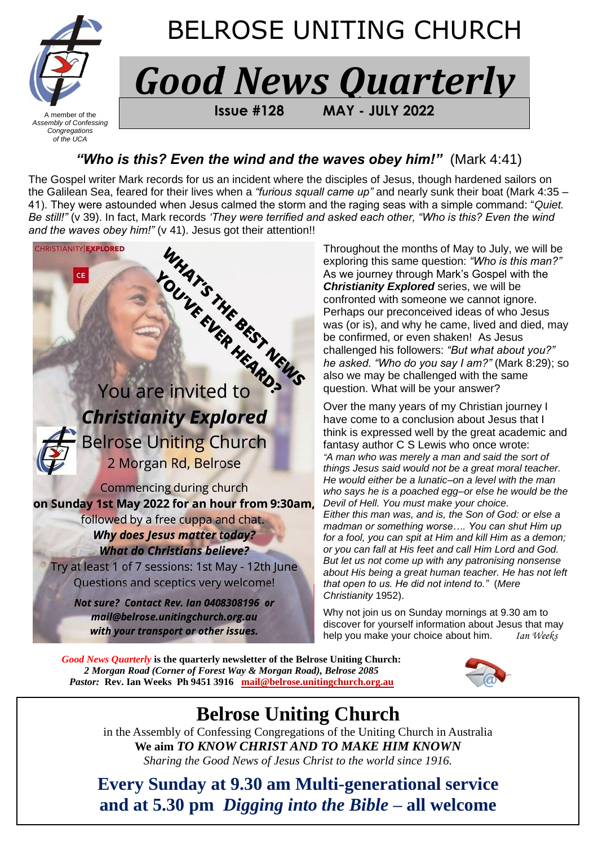

## BELROSE UNITING CHURCH

# *Good News Quarterly*

 $A$  member of the **FROM BELA BELROSE USING #128 MAY - JULY 2022** 

## *"Who is this? Even the wind and the waves obey him!"* (Mark 4:41)

The Gospel writer Mark records for us an incident where the disciples of Jesus, though hardened sailors on the Galilean Sea, feared for their lives when a *"furious squall came up"* and nearly sunk their boat (Mark 4:35 – 41). They were astounded when Jesus calmed the storm and the raging seas with a simple command: "*Quiet. Be still!"* (v 39). In fact, Mark records *'They were terrified and asked each other, "Who is this? Even the wind* 



Throughout the months of May to July, we will be exploring this same question: *"Who is this man?"* As we journey through Mark's Gospel with the *Christianity Explored* series, we will be confronted with someone we cannot ignore. Perhaps our preconceived ideas of who Jesus was (or is), and why he came, lived and died, may be confirmed, or even shaken! As Jesus challenged his followers: *"But what about you?" he asked. "Who do you say I am?"* (Mark 8:29); so also we may be challenged with the same question. What will be your answer?

Over the many years of my Christian journey I have come to a conclusion about Jesus that I think is expressed well by the great academic and fantasy author C S Lewis who once wrote: *"A man who was merely a man and said the sort of things Jesus said would not be a great moral teacher. He would either be a lunatic–on a level with the man who says he is a poached egg–or else he would be the Devil of Hell. You must make your choice. Either this man was, and is, the Son of God: or else a madman or something worse…. You can shut Him up for a fool, you can spit at Him and kill Him as a demon; or you can fall at His feet and call Him Lord and God. But let us not come up with any patronising nonsense about His being a great human teacher. He has not left that open to us. He did not intend to."* (*Mere Christianity* 1952).

Why not join us on Sunday mornings at 9.30 am to discover for yourself information about Jesus that may help you make your choice about him. *Ian Weeks*

*Good News Quarterly* **is the quarterly newsletter of the Belrose Uniting Church:**  *2 Morgan Road (Corner of Forest Way & Morgan Road), Belrose 2085 Pastor:* **Rev. Ian Weeks Ph 9451 3916****[mail@belrose.unitingchurch.org.au](mailto:mail@belrose.unitingchurch.org.au)**



## **Belrose Uniting Church**

in the Assembly of Confessing Congregations of the Uniting Church in Australia **We aim** *TO KNOW CHRIST AND TO MAKE HIM KNOWN Sharing the Good News of Jesus Christ to the world since 1916.*

**Every Sunday at 9.30 am Multi-generational service and at 5.30 pm** *Digging into the Bible* **– all welcome**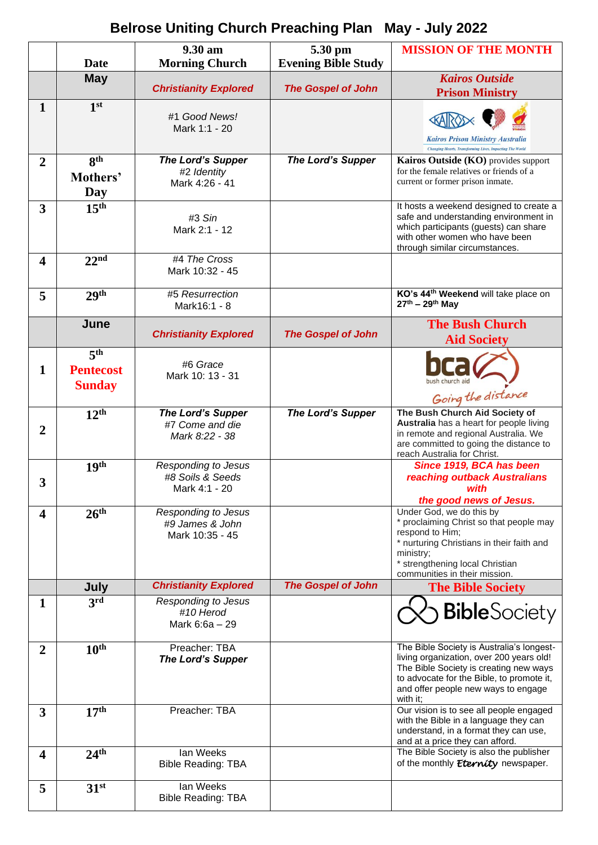## **Belrose Uniting Church Preaching Plan May - July 2022**

|                         | <b>Date</b>                                          | 9.30 am                                                          | 5.30 pm                    | <b>MISSION OF THE MONTH</b>                                                                                                                                                                                                     |
|-------------------------|------------------------------------------------------|------------------------------------------------------------------|----------------------------|---------------------------------------------------------------------------------------------------------------------------------------------------------------------------------------------------------------------------------|
|                         |                                                      | <b>Morning Church</b>                                            | <b>Evening Bible Study</b> |                                                                                                                                                                                                                                 |
|                         | <b>May</b>                                           | <b>Christianity Explored</b>                                     | <b>The Gospel of John</b>  | <b>Kairos Outside</b><br><b>Prison Ministry</b>                                                                                                                                                                                 |
| $\mathbf{1}$            | 1 <sup>st</sup>                                      | #1 Good News!<br>Mark 1:1 - 20                                   |                            | <b>Kairos Prison Ministry Australia</b><br><b>Changing Hearts, Transforming Lives, Impacting The World</b>                                                                                                                      |
| $\overline{2}$          | 8 <sup>th</sup><br>Mothers'<br>Day                   | The Lord's Supper<br>#2 Identity<br>Mark 4:26 - 41               | <b>The Lord's Supper</b>   | Kairos Outside (KO) provides support<br>for the female relatives or friends of a<br>current or former prison inmate.                                                                                                            |
| 3                       | 15 <sup>th</sup>                                     | #3 Sin<br>Mark 2:1 - 12                                          |                            | It hosts a weekend designed to create a<br>safe and understanding environment in<br>which participants (guests) can share<br>with other women who have been<br>through similar circumstances.                                   |
| $\overline{\mathbf{4}}$ | 22 <sup>nd</sup>                                     | #4 The Cross<br>Mark 10:32 - 45                                  |                            |                                                                                                                                                                                                                                 |
| 5                       | 29 <sup>th</sup>                                     | #5 Resurrection<br>Mark16:1 - 8                                  |                            | KO's 44 <sup>th</sup> Weekend will take place on<br>$27^{th} - 29^{th}$ May                                                                                                                                                     |
|                         | June                                                 | <b>Christianity Explored</b>                                     | <b>The Gospel of John</b>  | <b>The Bush Church</b><br><b>Aid Society</b>                                                                                                                                                                                    |
| $\mathbf{1}$            | 5 <sup>th</sup><br><b>Pentecost</b><br><b>Sunday</b> | #6 Grace<br>Mark 10: 13 - 31                                     |                            | bush church aid<br>Going the distance                                                                                                                                                                                           |
| $\overline{2}$          | 12 <sup>th</sup>                                     | <b>The Lord's Supper</b><br>#7 Come and die<br>Mark 8:22 - 38    | <b>The Lord's Supper</b>   | The Bush Church Aid Society of<br>Australia has a heart for people living<br>in remote and regional Australia. We<br>are committed to going the distance to<br>reach Australia for Christ.                                      |
| 3                       | 19 <sup>th</sup>                                     | <b>Responding to Jesus</b><br>#8 Soils & Seeds<br>Mark 4:1 - 20  |                            | Since 1919, BCA has been<br>reaching outback Australians<br>with<br>the good news of Jesus.                                                                                                                                     |
| $\overline{\mathbf{4}}$ | 26 <sup>th</sup>                                     | <b>Responding to Jesus</b><br>#9 James & John<br>Mark 10:35 - 45 |                            | Under God, we do this by<br>* proclaiming Christ so that people may<br>respond to Him;<br>* nurturing Christians in their faith and<br>ministry;<br>* strengthening local Christian<br>communities in their mission.            |
|                         | July                                                 | <b>Christianity Explored</b>                                     | <b>The Gospel of John</b>  | <b>The Bible Society</b>                                                                                                                                                                                                        |
| $\mathbf{1}$            | $3^{\overline{\text{rd}}}$                           | <b>Responding to Jesus</b><br>#10 Herod<br>Mark 6:6a - 29        |                            | <b>Bible</b> Society                                                                                                                                                                                                            |
| $\overline{2}$          | 10 <sup>th</sup>                                     | Preacher: TBA<br><b>The Lord's Supper</b>                        |                            | The Bible Society is Australia's longest-<br>living organization, over 200 years old!<br>The Bible Society is creating new ways<br>to advocate for the Bible, to promote it,<br>and offer people new ways to engage<br>with it; |
| 3                       | 17 <sup>th</sup>                                     | Preacher: TBA                                                    |                            | Our vision is to see all people engaged<br>with the Bible in a language they can<br>understand, in a format they can use,<br>and at a price they can afford.                                                                    |
| 4                       | 24 <sup>th</sup>                                     | lan Weeks<br><b>Bible Reading: TBA</b>                           |                            | The Bible Society is also the publisher<br>of the monthly <i>Eternity</i> newspaper.                                                                                                                                            |
| 5                       | 31 <sup>st</sup>                                     | lan Weeks<br><b>Bible Reading: TBA</b>                           |                            |                                                                                                                                                                                                                                 |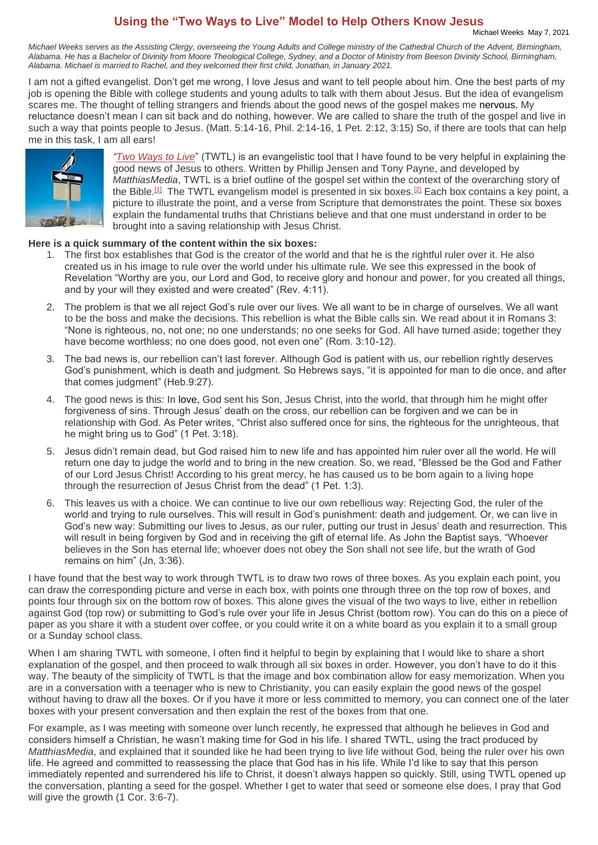## **Using the "Two Ways to Live" Model to Help Others Know Jesus**

*Michael Weeks serves as the Assisting Clergy, overseeing the Young Adults and College ministry of the Cathedral Church of the Advent, Birmingham, Alabama. He has a Bachelor of Divinity from Moore Theological College, Sydney, and a Doctor of Ministry from Beeson Divinity School, Birmingham, Alabama. Michael is married to Rachel, and they welcomed their first child, Jonathan, in January 2021.*

I am not a gifted evangelist. Don't get me wrong, I love Jesus and want to tell people about him. One the best parts of my job is opening the Bible with college students and young adults to talk with them about Jesus. But the idea of evangelism scares me. The thought of telling strangers and friends about the good news of the gospel makes me nervous. My reluctance doesn't mean I can sit back and do nothing, however. We are called to share the truth of the gospel and live in such a way that points people to Jesus. (Matt. 5:14-16, Phil. 2:14-16, 1 Pet. 2:12, 3:15) So, if there are tools that can help me in this task, I am all ears!



*"Two Ways to Live*" (TWTL) is an evangelistic tool that I have found to be very helpful in explaining the good news of Jesus to others. Written by Phillip Jensen and Tony Payne, and developed by *MatthiasMedia*, TWTL is a brief outline of the gospel set within the context of the overarching story of the Bible.<sup>[1]</sup> The TWTL evangelism model is presented in six boxes.<sup>[2]</sup> Each box contains a key point, a picture to illustrate the point, and a verse from Scripture that demonstrates the point. These six boxes explain the fundamental truths that Christians believe and that one must understand in order to be brought into a saving relationship with Jesus Christ.

#### **Here is a quick summary of the content within the six boxes:**

- 1. The first box establishes that God is the creator of the world and that he is the rightful ruler over it. He also created us in his image to rule over the world under his ultimate rule. We see this expressed in the book of Revelation "Worthy are you, our Lord and God, to receive glory and honour and power, for you created all things, and by your will they existed and were created" (Rev. 4:11).
- 2. The problem is that we all reject God's rule over our lives. We all want to be in charge of ourselves. We all want to be the boss and make the decisions. This rebellion is what the Bible calls sin. We read about it in Romans 3: "None is righteous, no, not one; no one understands; no one seeks for God. All have turned aside; together they have become worthless; no one does good, not even one" (Rom. 3:10-12).
- 3. The bad news is, our rebellion can't last forever. Although God is patient with us, our rebellion rightly deserves God's punishment, which is death and judgment. So Hebrews says, "it is appointed for man to die once, and after that comes judgment" (Heb.9:27).
- 4. The good news is this: In love, God sent his Son, Jesus Christ, into the world, that through him he might offer forgiveness of sins. Through Jesus' death on the cross, our rebellion can be forgiven and we can be in relationship with God. As Peter writes, "Christ also suffered once for sins, the righteous for the unrighteous, that he might bring us to God" (1 Pet. 3:18).
- 5. Jesus didn't remain dead, but God raised him to new life and has appointed him ruler over all the world. He will return one day to judge the world and to bring in the new creation. So, we read, "Blessed be the God and Father of our Lord Jesus Christ! According to his great mercy, he has caused us to be born again to a living hope through the resurrection of Jesus Christ from the dead" (1 Pet. 1:3).
- 6. This leaves us with a choice. We can continue to live our own rebellious way: Rejecting God, the ruler of the world and trying to rule ourselves. This will result in God's punishment: death and judgement. Or, we can live in God's new way: Submitting our lives to Jesus, as our ruler, putting our trust in Jesus' death and resurrection. This will result in being forgiven by God and in receiving the gift of eternal life. As John the Baptist says, "Whoever believes in the Son has eternal life; whoever does not obey the Son shall not see life, but the wrath of God remains on him" (Jn, 3:36).

I have found that the best way to work through TWTL is to draw two rows of three boxes. As you explain each point, you can draw the corresponding picture and verse in each box, with points one through three on the top row of boxes, and points four through six on the bottom row of boxes. This alone gives the visual of the two ways to live, either in rebellion against God (top row) or submitting to God's rule over your life in Jesus Christ (bottom row). You can do this on a piece of paper as you share it with a student over coffee, or you could write it on a white board as you explain it to a small group or a Sunday school class.

When I am sharing TWTL with someone, I often find it helpful to begin by explaining that I would like to share a short explanation of the gospel, and then proceed to walk through all six boxes in order. However, you don't have to do it this way. The beauty of the simplicity of TWTL is that the image and box combination allow for easy memorization. When you are in a conversation with a teenager who is new to Christianity, you can easily explain the good news of the gospel without having to draw all the boxes. Or if you have it more or less committed to memory, you can connect one of the later boxes with your present conversation and then explain the rest of the boxes from that one.

For example, as I was meeting with someone over lunch recently, he expressed that although he believes in God and considers himself a Christian, he wasn't making time for God in his life. I shared TWTL, using the tract produced by *MatthiasMedia*, and explained that it sounded like he had been trying to live life without God, being the ruler over his own life. He agreed and committed to reassessing the place that God has in his life. While I'd like to say that this person immediately repented and surrendered his life to Christ, it doesn't always happen so quickly. Still, using TWTL opened up the conversation, planting a seed for the gospel. Whether I get to water that seed or someone else does, I pray that God will give the growth (1 Cor. 3:6-7).